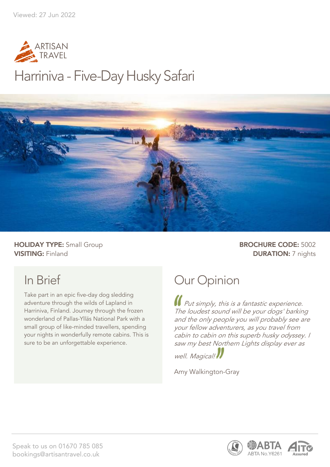

# Harriniva - Five-Day Husky Safari



HOLIDAY TYPE: Small Group **BROCHURE CODE:** 5002 **VISITING:** Finland **DURATION:** 7 nights

# In Brief

Take part in an epic five-day dog sledding adventure through the wilds of Lapland in Harriniva, Finland. Journey through the frozen wonderland of Pallas-Ylläs National Park with a small group of like-minded travellers, spending your nights in wonderfully remote cabins. This is sure to be an unforgettable experience.

# Our Opinion

**If** Put simply, this is a fantastic experience. The loudest sound will be your dogs' barking and the only people you will probably see are your fellow adventurers, as you travel from cabin to cabin on this superb husky odyssey. I saw my best Northern Lights display ever as

well. Magical!

Amy Walkington-Gray



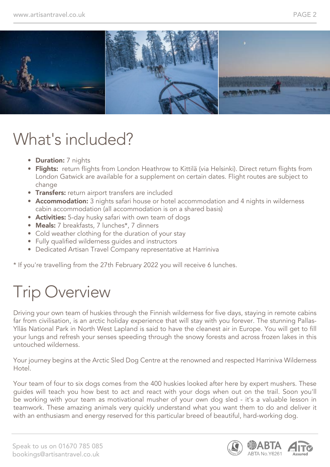

# What's included?

- **Duration:** 7 nights
- Flights: return flights from London Heathrow to Kittilä (via Helsinki). Direct return flights from London Gatwick are available for a supplement on certain dates. Flight routes are subject to change
- Transfers: return airport transfers are included
- Accommodation: 3 nights safari house or hotel accommodation and 4 nights in wilderness cabin accommodation (all accommodation is on a shared basis)
- Activities: 5-day husky safari with own team of dogs
- Meals: 7 breakfasts, 7 lunches\*, 7 dinners
- Cold weather clothing for the duration of your stay
- Fully qualified wilderness guides and instructors
- Dedicated Artisan Travel Company representative at Harriniva

\* If you're travelling from the 27th February 2022 you will receive 6 lunches.

# Trip Overview

Driving your own team of huskies through the Finnish wilderness for five days, staying in remote cabins far from civilisation, is an arctic holiday experience that will stay with you forever. The stunning Pallas-Ylläs National Park in North West Lapland is said to have the cleanest air in Europe. You will get to fill your lungs and refresh your senses speeding through the snowy forests and across frozen lakes in this untouched wilderness.

Your journey begins at the Arctic Sled Dog Centre at the renowned and respected Harriniva Wilderness Hotel.

Your team of four to six dogs comes from the 400 huskies looked after here by expert mushers. These guides will teach you how best to act and react with your dogs when out on the trail. Soon you'll be working with your team as motivational musher of your own dog sled - it's a valuable lesson in teamwork. These amazing animals very quickly understand what you want them to do and deliver it with an enthusiasm and energy reserved for this particular breed of beautiful, hard-working dog.

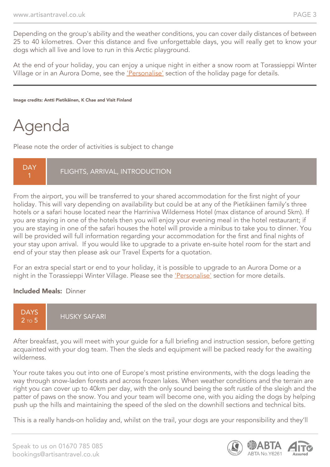Depending on the group's ability and the weather conditions, you can cover daily distances of between 25 to 40 kilometres. Over this distance and five unforgettable days, you will really get to know your dogs which all live and love to run in this Arctic playground.

At the end of your holiday, you can enjoy a unique night in either a snow room at Torassieppi Winter Village or in an Aurora Dome, see the 'Personalise' section of the holiday page for details.

Image credits: Antti Pietikäinen, K Chae and Visit Finland

# Agenda

Please note the order of activities is subject to change

**DAY** 

FLIGHTS, ARRIVAL, INTRODUCTION

From the airport, you will be transferred to your shared accommodation for the first night of your holiday. This will vary depending on availability but could be at any of the Pietikäinen family's three hotels or a safari house located near the Harriniva Wilderness Hotel (max distance of around 5km). If you are staying in one of the hotels then you will enjoy your evening meal in the hotel restaurant; if you are staying in one of the safari houses the hotel will provide a minibus to take you to dinner. You will be provided will full information regarding your accommodation for the first and final nights of your stay upon arrival. If you would like to upgrade to a private en-suite hotel room for the start and end of your stay then please ask our Travel Experts for a quotation.

For an extra special start or end to your holiday, it is possible to upgrade to an Aurora Dome or a night in the Torassieppi Winter Village. Please see the 'Personalise' section for more details.

#### Included Meals: Dinner



After breakfast, you will meet with your guide for a full briefing and instruction session, before getting acquainted with your dog team. Then the sleds and equipment will be packed ready for the awaiting wilderness.

Your route takes you out into one of Europe's most pristine environments, with the dogs leading the way through snow-laden forests and across frozen lakes. When weather conditions and the terrain are right you can cover up to 40km per day, with the only sound being the soft rustle of the sleigh and the patter of paws on the snow. You and your team will become one, with you aiding the dogs by helping push up the hills and maintaining the speed of the sled on the downhill sections and technical bits.

This is a really hands-on holiday and, whilst on the trail, your dogs are your responsibility and they'll

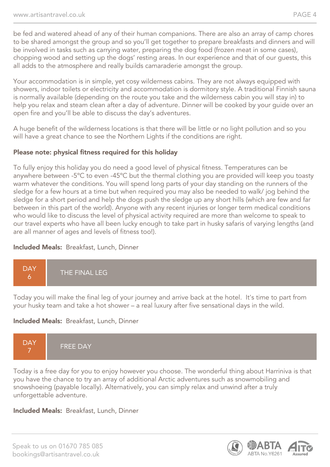be fed and watered ahead of any of their human companions. There are also an array of camp chores to be shared amongst the group and so you'll get together to prepare breakfasts and dinners and will be involved in tasks such as carrying water, preparing the dog food (frozen meat in some cases), chopping wood and setting up the dogs' resting areas. In our experience and that of our guests, this all adds to the atmosphere and really builds camaraderie amongst the group.

Your accommodation is in simple, yet cosy wilderness cabins. They are not always equipped with showers, indoor toilets or electricity and accommodation is dormitory style. A traditional Finnish sauna is normally available (depending on the route you take and the wilderness cabin you will stay in) to help you relax and steam clean after a day of adventure. Dinner will be cooked by your guide over an open fire and you'll be able to discuss the day's adventures.

A huge benefit of the wilderness locations is that there will be little or no light pollution and so you will have a great chance to see the Northern Lights if the conditions are right.

#### Please note: physical fitness required for this holiday

To fully enjoy this holiday you do need a good level of physical fitness. Temperatures can be anywhere between -5ºC to even -45ºC but the thermal clothing you are provided will keep you toasty warm whatever the conditions. You will spend long parts of your day standing on the runners of the sledge for a few hours at a time but when required you may also be needed to walk/ jog behind the sledge for a short period and help the dogs push the sledge up any short hills (which are few and far between in this part of the world). Anyone with any recent injuries or longer term medical conditions who would like to discuss the level of physical activity required are more than welcome to speak to our travel experts who have all been lucky enough to take part in husky safaris of varying lengths (and are all manner of ages and levels of fitness too!).

#### Included Meals: Breakfast, Lunch, Dinner



Today you will make the final leg of your journey and arrive back at the hotel. It's time to part from your husky team and take a hot shower – a real luxury after five sensational days in the wild.

#### Included Meals: Breakfast, Lunch, Dinner



Today is a free day for you to enjoy however you choose. The wonderful thing about Harriniva is that you have the chance to try an array of additional Arctic adventures such as snowmobiling and snowshoeing (payable locally). Alternatively, you can simply relax and unwind after a truly unforgettable adventure.

Included Meals: Breakfast, Lunch, Dinner

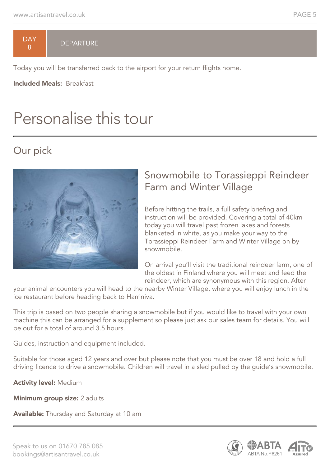**DAY** 8

#### **DEPARTURE**

Today you will be transferred back to the airport for your return flights home.

Included Meals: Breakfast

# Personalise this tour

## Our pick



### Snowmobile to Torassieppi Reindeer Farm and Winter Village

Before hitting the trails, a full safety briefing and instruction will be provided. Covering a total of 40km today you will travel past frozen lakes and forests blanketed in white, as you make your way to the Torassieppi Reindeer Farm and Winter Village on by snowmobile.

On arrival you'll visit the traditional reindeer farm, one of the oldest in Finland where you will meet and feed the reindeer, which are synonymous with this region. After

your animal encounters you will head to the nearby Winter Village, where you will enjoy lunch in the ice restaurant before heading back to Harriniva.

This trip is based on two people sharing a snowmobile but if you would like to travel with your own machine this can be arranged for a supplement so please just ask our sales team for details. You will be out for a total of around 3.5 hours.

Guides, instruction and equipment included.

Suitable for those aged 12 years and over but please note that you must be over 18 and hold a full driving licence to drive a snowmobile. Children will travel in a sled pulled by the guide's snowmobile.

Activity level: Medium

Minimum group size: 2 adults

Available: Thursday and Saturday at 10 am

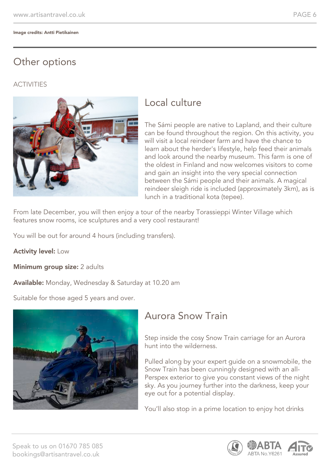## Other options

#### **ACTIVITIES**



### Local culture

The Sámi people are native to Lapland, and their culture can be found throughout the region. On this activity, you will visit a local reindeer farm and have the chance to learn about the herder's lifestyle, help feed their animals and look around the nearby museum. This farm is one of the oldest in Finland and now welcomes visitors to come and gain an insight into the very special connection between the Sámi people and their animals. A magical reindeer sleigh ride is included (approximately 3km), as is lunch in a traditional kota (tepee).

From late December, you will then enjoy a tour of the nearby Torassieppi Winter Village which features snow rooms, ice sculptures and a very cool restaurant!

You will be out for around 4 hours (including transfers).

**Activity level: Low** 

Minimum group size: 2 adults

Available: Monday, Wednesday & Saturday at 10.20 am

Suitable for those aged 5 years and over.



## Aurora Snow Train

Step inside the cosy Snow Train carriage for an Aurora hunt into the wilderness.

Pulled along by your expert guide on a snowmobile, the Snow Train has been cunningly designed with an all-Perspex exterior to give you constant views of the night sky. As you journey further into the darkness, keep your eye out for a potential display.

You'll also stop in a prime location to enjoy hot drinks

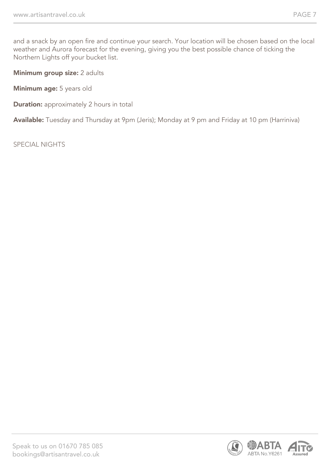and a snack by an open fire and continue your search. Your location will be chosen based on the local weather and Aurora forecast for the evening, giving you the best possible chance of ticking the Northern Lights off your bucket list.

Minimum group size: 2 adults

Minimum age: 5 years old

**Duration:** approximately 2 hours in total

Available: Tuesday and Thursday at 9pm (Jeris); Monday at 9 pm and Friday at 10 pm (Harriniva)

SPECIAL NIGHTS

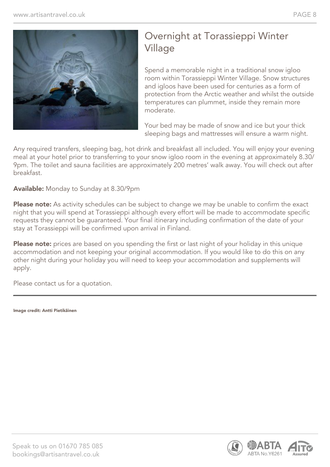

### Overnight at Torassieppi Winter Village

Spend a memorable night in a traditional snow igloo room within Torassieppi Winter Village. Snow structures and igloos have been used for centuries as a form of protection from the Arctic weather and whilst the outside temperatures can plummet, inside they remain more moderate.

Your bed may be made of snow and ice but your thick sleeping bags and mattresses will ensure a warm night.

Any required transfers, sleeping bag, hot drink and breakfast all included. You will enjoy your evening meal at your hotel prior to transferring to your snow igloo room in the evening at approximately 8.30/ 9pm. The toilet and sauna facilities are approximately 200 metres' walk away. You will check out after breakfast.

Available: Monday to Sunday at 8.30/9pm

Please note: As activity schedules can be subject to change we may be unable to confirm the exact night that you will spend at Torassieppi although every effort will be made to accommodate specific requests they cannot be guaranteed. Your final itinerary including confirmation of the date of your stay at Torassieppi will be confirmed upon arrival in Finland.

Please note: prices are based on you spending the first or last night of your holiday in this unique accommodation and not keeping your original accommodation. If you would like to do this on any other night during your holiday you will need to keep your accommodation and supplements will apply.

Please contact us for a quotation.

Image credit: Antti Pietikäinen

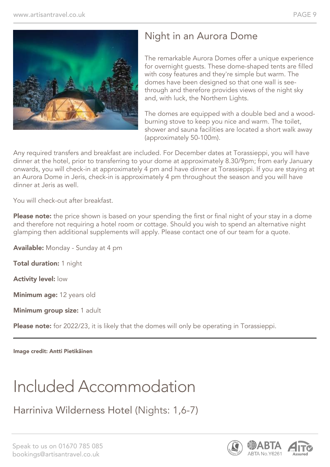

## Night in an Aurora Dome

The remarkable Aurora Domes offer a unique experience for overnight guests. These dome-shaped tents are filled with cosy features and they're simple but warm. The domes have been designed so that one wall is seethrough and therefore provides views of the night sky and, with luck, the Northern Lights.

The domes are equipped with a double bed and a woodburning stove to keep you nice and warm. The toilet, shower and sauna facilities are located a short walk away (approximately 50-100m).

Any required transfers and breakfast are included. For December dates at Torassieppi, you will have dinner at the hotel, prior to transferring to your dome at approximately 8.30/9pm; from early January onwards, you will check-in at approximately 4 pm and have dinner at Torassieppi. If you are staying at an Aurora Dome in Jeris, check-in is approximately 4 pm throughout the season and you will have dinner at Jeris as well.

You will check-out after breakfast.

Please note: the price shown is based on your spending the first or final night of your stay in a dome and therefore not requiring a hotel room or cottage. Should you wish to spend an alternative night glamping then additional supplements will apply. Please contact one of our team for a quote.

Available: Monday - Sunday at 4 pm

Total duration: 1 night

Activity level: low

Minimum age: 12 years old

Minimum group size: 1 adult

Please note: for 2022/23, it is likely that the domes will only be operating in Torassieppi.

Image credit: Antti Pietikäinen

# Included Accommodation

Harriniva Wilderness Hotel (Nights: 1,6-7)

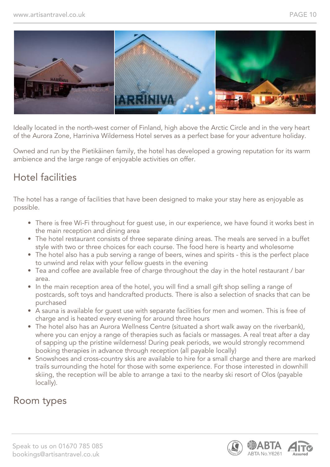

Ideally located in the north-west corner of Finland, high above the Arctic Circle and in the very heart of the Aurora Zone, Harriniva Wilderness Hotel serves as a perfect base for your adventure holiday.

Owned and run by the Pietikäinen family, the hotel has developed a growing reputation for its warm ambience and the large range of enjoyable activities on offer.

### Hotel facilities

The hotel has a range of facilities that have been designed to make your stay here as enjoyable as possible.

- There is free Wi-Fi throughout for guest use, in our experience, we have found it works best in the main reception and dining area
- The hotel restaurant consists of three separate dining areas. The meals are served in a buffet style with two or three choices for each course. The food here is hearty and wholesome
- The hotel also has a pub serving a range of beers, wines and spirits this is the perfect place to unwind and relax with your fellow guests in the evening
- Tea and coffee are available free of charge throughout the day in the hotel restaurant / bar area.
- In the main reception area of the hotel, you will find a small gift shop selling a range of postcards, soft toys and handcrafted products. There is also a selection of snacks that can be purchased
- A sauna is available for guest use with separate facilities for men and women. This is free of charge and is heated every evening for around three hours
- The hotel also has an Aurora Wellness Centre (situated a short walk away on the riverbank), where you can enjoy a range of therapies such as facials or massages. A real treat after a day of sapping up the pristine wilderness! During peak periods, we would strongly recommend booking therapies in advance through reception (all payable locally)
- Snowshoes and cross-country skis are available to hire for a small charge and there are marked trails surrounding the hotel for those with some experience. For those interested in downhill skiing, the reception will be able to arrange a taxi to the nearby ski resort of Olos (payable locally).

### Room types

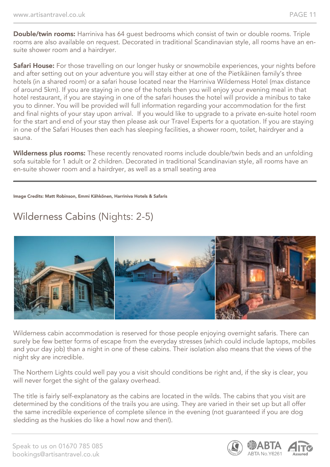Double/twin rooms: Harriniva has 64 quest bedrooms which consist of twin or double rooms. Triple rooms are also available on request. Decorated in traditional Scandinavian style, all rooms have an ensuite shower room and a hairdryer.

Safari House: For those travelling on our longer husky or snowmobile experiences, your nights before and after setting out on your adventure you will stay either at one of the Pietikäinen family's three hotels (in a shared room) or a safari house located near the Harriniva Wilderness Hotel (max distance of around 5km). If you are staying in one of the hotels then you will enjoy your evening meal in that hotel restaurant, if you are staying in one of the safari houses the hotel will provide a minibus to take you to dinner. You will be provided will full information regarding your accommodation for the first and final nights of your stay upon arrival. If you would like to upgrade to a private en-suite hotel room for the start and end of your stay then please ask our Travel Experts for a quotation. If you are staying in one of the Safari Houses then each has sleeping facilities, a shower room, toilet, hairdryer and a sauna.

Wilderness plus rooms: These recently renovated rooms include double/twin beds and an unfolding sofa suitable for 1 adult or 2 children. Decorated in traditional Scandinavian style, all rooms have an en-suite shower room and a hairdryer, as well as a small seating area

#### Image Credits: Matt Robinson, Emmi Kähkönen, Harriniva Hotels & Safaris

# Wilderness Cabins (Nights: 2-5)



Wilderness cabin accommodation is reserved for those people enjoying overnight safaris. There can surely be few better forms of escape from the everyday stresses (which could include laptops, mobiles and your day job) than a night in one of these cabins. Their isolation also means that the views of the night sky are incredible.

The Northern Lights could well pay you a visit should conditions be right and, if the sky is clear, you will never forget the sight of the galaxy overhead.

The title is fairly self-explanatory as the cabins are located in the wilds. The cabins that you visit are determined by the conditions of the trails you are using. They are varied in their set up but all offer the same incredible experience of complete silence in the evening (not guaranteed if you are dog sledding as the huskies do like a howl now and then!).

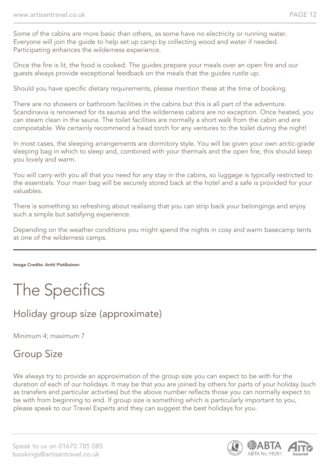Some of the cabins are more basic than others, as some have no electricity or running water. Everyone will join the guide to help set up camp by collecting wood and water if needed. Participating enhances the wilderness experience.

Once the fire is lit, the food is cooked. The guides prepare your meals over an open fire and our guests always provide exceptional feedback on the meals that the guides rustle up.

Should you have specific dietary requirements, please mention these at the time of booking.

There are no showers or bathroom facilities in the cabins but this is all part of the adventure. Scandinavia is renowned for its saunas and the wilderness cabins are no exception. Once heated, you can steam clean in the sauna. The toilet facilities are normally a short walk from the cabin and are compostable. We certainly recommend a head torch for any ventures to the toilet during the night!

In most cases, the sleeping arrangements are dormitory style. You will be given your own arctic-grade sleeping bag in which to sleep and, combined with your thermals and the open fire, this should keep you lovely and warm.

You will carry with you all that you need for any stay in the cabins, so luggage is typically restricted to the essentials. Your main bag will be securely stored back at the hotel and a safe is provided for your valuables.

There is something so refreshing about realising that you can strip back your belongings and enjoy such a simple but satisfying experience.

Depending on the weather conditions you might spend the nights in cosy and warm basecamp tents at one of the wilderness camps.

Image Credits: Antti Pietikainen

# The Specifics

## Holiday group size (approximate)

Minimum 4; maximum 7

### Group Size

We always try to provide an approximation of the group size you can expect to be with for the duration of each of our holidays. It may be that you are joined by others for parts of your holiday (such as transfers and particular activities) but the above number reflects those you can normally expect to be with from beginning to end. If group size is something which is particularly important to you, please speak to our Travel Experts and they can suggest the best holidays for you.